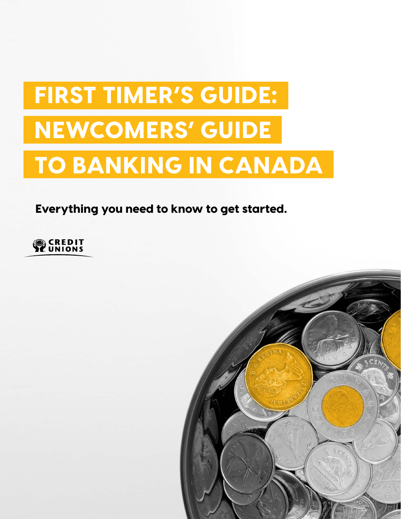# FIRST TIMER'S GUIDE: NEWCOMERS' GUIDE TO BANKING IN CANADA

Everything you need to know to get started.



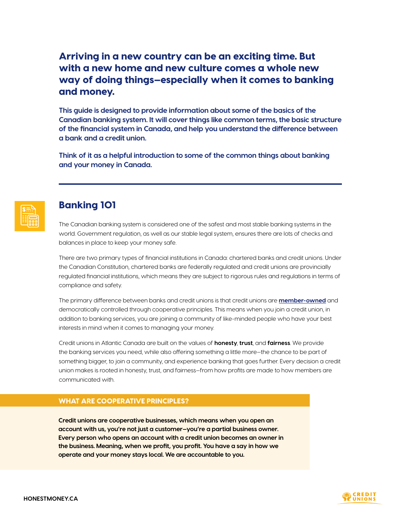# Arriving in a new country can be an exciting time. But with a new home and new culture comes a whole new way of doing things—especially when it comes to banking and money.

**This guide is designed to provide information about some of the basics of the Canadian banking system. It will cover things like common terms, the basic structure of the financial system in Canada, and help you understand the difference between a bank and a credit union.**

**Think of it as a helpful introduction to some of the common things about banking and your money in Canada.** 



# Banking 101

The Canadian banking system is considered one of the safest and most stable banking systems in the world. Government regulation, as well as our stable legal system, ensures there are lots of checks and balances in place to keep your money safe.

There are two primary types of financial institutions in Canada: chartered banks and credit unions. Under the Canadian Constitution, chartered banks are federally regulated and credit unions are provincially regulated financial institutions, which means they are subject to rigorous rules and regulations in terms of compliance and safety.

The primary difference between banks and credit unions is that credit unions are **[member-owned](https://honestmoney.ca/stories/what-does-it-mean-to-be-a-member)** and democratically controlled through cooperative principles. This means when you join a credit union, in addition to banking services, you are joining a community of like-minded people who have your best interests in mind when it comes to managing your money.

Credit unions in Atlantic Canada are built on the values of **honesty**, **trust**, and **fairness**. We provide the banking services you need, while also offering something a little more—the chance to be part of something bigger, to join a community, and experience banking that goes further. Every decision a credit union makes is rooted in honesty, trust, and fairness—from how profits are made to how members are communicated with.

## WHAT ARE COOPERATIVE PRINCIPLES?

**Credit unions are cooperative businesses, which means when you open an account with us, you're not just a customer—you're a partial business owner. Every person who opens an account with a credit union becomes an owner in the business. Meaning, when we profit, you profit. You have a say in how we operate and your money stays local. We are accountable to you.**

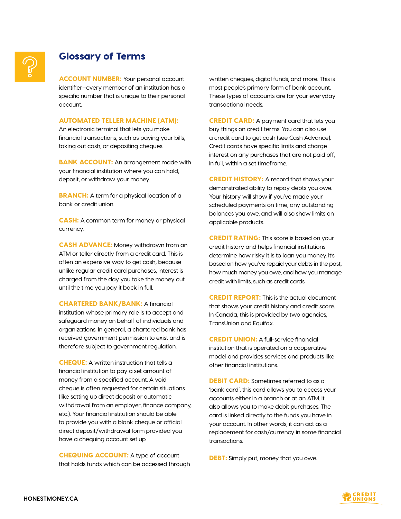# Glossary of Terms

**ACCOUNT NUMBER:** Your personal account identifier—every member of an institution has a specific number that is unique to their personal account.

## AUTOMATED TELLER MACHINE (ATM):

An electronic terminal that lets you make financial transactions, such as paying your bills, taking out cash, or depositing cheques.

**BANK ACCOUNT:** An arrangement made with your financial institution where you can hold, deposit, or withdraw your money.

**BRANCH:** A term for a physical location of a bank or credit union.

CASH: A common term for money or physical currency.

CASH ADVANCE: Money withdrawn from an ATM or teller directly from a credit card. This is often an expensive way to get cash, because unlike regular credit card purchases, interest is charged from the day you take the money out until the time you pay it back in full.

CHARTERED BANK/BANK: A financial institution whose primary role is to accept and safeguard money on behalf of individuals and organizations. In general, a chartered bank has received government permission to exist and is therefore subject to government regulation.

CHEQUE: A written instruction that tells a financial institution to pay a set amount of money from a specified account. A void cheque is often requested for certain situations (like setting up direct deposit or automatic withdrawal from an employer, finance company, etc.). Your financial institution should be able to provide you with a blank cheque or official direct deposit/withdrawal form provided you have a chequing account set up.

CHEQUING ACCOUNT: A type of account that holds funds which can be accessed through written cheques, digital funds, and more. This is most people's primary form of bank account. These types of accounts are for your everyday transactional needs.

**CREDIT CARD:** A payment card that lets you buy things on credit terms. You can also use a credit card to get cash (see Cash Advance). Credit cards have specific limits and charge interest on any purchases that are not paid off, in full, within a set timeframe.

CREDIT HISTORY: A record that shows your demonstrated ability to repay debts you owe. Your history will show if you've made your scheduled payments on time, any outstanding balances you owe, and will also show limits on applicable products.

**CREDIT RATING:** This score is based on your credit history and helps financial institutions determine how risky it is to loan you money. It's based on how you've repaid your debts in the past, how much money you owe, and how you manage credit with limits, such as credit cards.

CREDIT REPORT: This is the actual document that shows your credit history and credit score. In Canada, this is provided by two agencies, TransUnion and Equifax.

CREDIT UNION: A full-service financial institution that is operated on a cooperative model and provides services and products like other financial institutions.

**DEBIT CARD:** Sometimes referred to as a 'bank card', this card allows you to access your accounts either in a branch or at an ATM. It also allows you to make debit purchases. The card is linked directly to the funds you have in your account. In other words, it can act as a replacement for cash/currency in some financial transactions.

**DEBT:** Simply put, money that you owe.

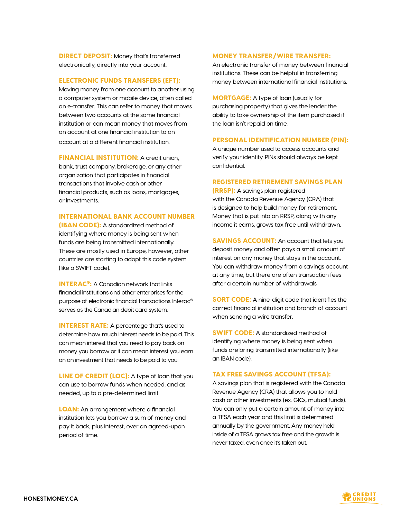**DIRECT DEPOSIT:** Money that's transferred electronically, directly into your account.

#### ELECTRONIC FUNDS TRANSFERS (EFT):

Moving money from one account to another using a computer system or mobile device, often called an e-transfer. This can refer to money that moves between two accounts at the same financial institution or can mean money that moves from an account at one financial institution to an account at a different financial institution.

FINANCIAL INSTITUTION: A credit union, bank, trust company, brokerage, or any other organization that participates in financial transactions that involve cash or other financial products, such as loans, mortgages, or investments.

## INTERNATIONAL BANK ACCOUNT NUMBER

(IBAN CODE): A standardized method of identifying where money is being sent when funds are being transmitted internationally. These are mostly used in Europe, however, other countries are starting to adopt this code system (like a SWIFT code).

INTERAC®: A Canadian network that links financial institutions and other enterprises for the purpose of electronic financial transactions. Interac® serves as the Canadian debit card system.

**INTEREST RATE:** A percentage that's used to determine how much interest needs to be paid. This can mean interest that you need to pay back on money you borrow or it can mean interest you earn on an investment that needs to be paid to you.

LINE OF CREDIT (LOC): A type of loan that you can use to borrow funds when needed, and as needed, up to a pre-determined limit.

**LOAN:** An arrangement where a financial institution lets you borrow a sum of money and pay it back, plus interest, over an agreed-upon period of time.

## MONEY TRANSFER/WIRE TRANSFER:

An electronic transfer of money between financial institutions. These can be helpful in transferring money between international financial institutions.

**MORTGAGE:** A type of loan (usually for purchasing property) that gives the lender the ability to take ownership of the item purchased if the loan isn't repaid on time.

#### PERSONAL IDENTIFICATION NUMBER (PIN):

A unique number used to access accounts and verify your identity. PINs should always be kept confidential.

#### REGISTERED RETIREMENT SAVINGS PLAN

(RRSP): A savings plan registered with the Canada Revenue Agency (CRA) that is designed to help build money for retirement. Money that is put into an RRSP, along with any income it earns, grows tax free until withdrawn.

**SAVINGS ACCOUNT:** An account that lets you deposit money and often pays a small amount of interest on any money that stays in the account. You can withdraw money from a savings account at any time, but there are often transaction fees after a certain number of withdrawals.

**SORT CODE:** A nine-digit code that identifies the correct financial institution and branch of account when sending a wire transfer.

SWIFT CODE: A standardized method of identifying where money is being sent when funds are bring transmitted internationally (like an IBAN code).

#### TAX FREE SAVINGS ACCOUNT (TFSA):

A savings plan that is registered with the Canada Revenue Agency (CRA) that allows you to hold cash or other investments (ex. GICs, mutual funds). You can only put a certain amount of money into a TFSA each year and this limit is determined annually by the government. Any money held inside of a TFSA grows tax free and the growth is never taxed, even once it's taken out.

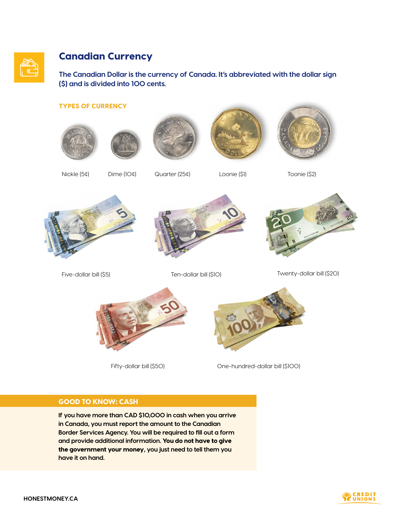

# Canadian Currency

**The Canadian Dollar is the currency of Canada. It's abbreviated with the dollar sign (\$) and is divided into 100 cents.** 

## TYPES OF CURRENCY









Nickle (5¢) Dime (10¢) Quarter (25¢) Loonie (\$1) Toonie (\$2)







Five-dollar bill (\$5) Ten-dollar bill (\$10) Twenty-dollar bill (\$20)



Fifty-dollar bill (\$50) Cne-hundred-dollar bill (\$100)

# GOOD TO KNOW: CASH

**If you have more than CAD \$10,000 in cash when you arrive in Canada, you must report the amount to the Canadian Border Services Agency. You will be required to fill out a form and provide additional information.** You do not have to give the government your money**, you just need to tell them you have it on hand.** 

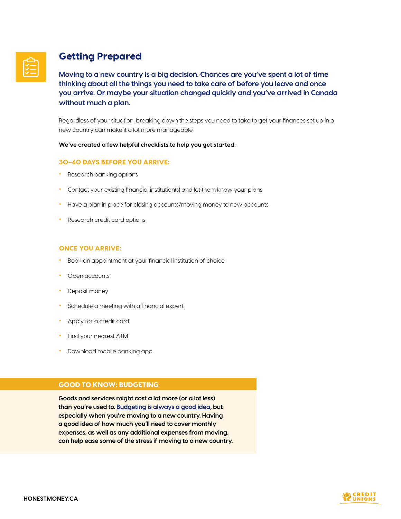

# Getting Prepared

**Moving to a new country is a big decision. Chances are you've spent a lot of time thinking about all the things you need to take care of before you leave and once you arrive. Or maybe your situation changed quickly and you've arrived in Canada without much a plan.**

Regardless of your situation, breaking down the steps you need to take to get your finances set up in a new country can make it a lot more manageable.

#### **We've created a few helpful checklists to help you get started.**

#### 30–60 DAYS BEFORE YOU ARRIVE:

- Research banking options
- Contact your existing financial institution(s) and let them know your plans
- Have a plan in place for closing accounts/moving money to new accounts
- Research credit card options

## ONCE YOU ARRIVE:

- Book an appointment at your financial institution of choice
- Open accounts
- Deposit money
- Schedule a meeting with a financial expert
- Apply for a credit card
- Find your nearest ATM
- Download mobile banking app

## GOOD TO KNOW: BUDGETING

**Goods and services might cost a lot more (or a lot less) than you're used to. [Budgeting is always a good idea](https://honestmoney.ca/stories/budgeting-worksheet), but especially when you're moving to a new country. Having a good idea of how much you'll need to cover monthly expenses, as well as any additional expenses from moving, can help ease some of the stress if moving to a new country.** 

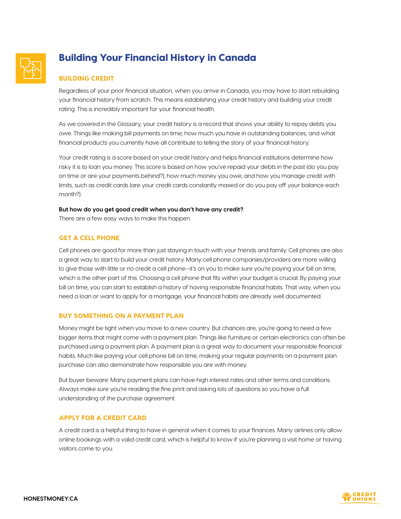

# Building Your Financial History in Canada

## BUILDING CREDIT

Regardless of your prior financial situation, when you arrive in Canada, you may have to start rebuilding your financial history from scratch. This means establishing your credit history and building your credit rating. This is incredibly important for your financial health.

As we covered in the Glossary, your credit history is a record that shows your ability to repay debts you owe. Things like making bill payments on time, how much you have in outstanding balances, and what financial products you currently have all contribute to telling the story of your financial history.

Your credit rating is a score based on your credit history and helps financial institutions determine how risky it is to loan you money. This score is based on how you've repaid your debts in the past (do you pay on time or are your payments behind?), how much money you owe, and how you manage credit with limits, such as credit cards (are your credit cards constantly maxed or do you pay off your balance each month?).

#### **But how do you get good credit when you don't have any credit?**

There are a few easy ways to make this happen.

## GET A CELL PHONE

Cell phones are good for more than just staying in touch with your friends and family. Cell phones are also a great way to start to build your credit history. Many cell phone companies/providers are more willing to give those with little or no credit a cell phone—it's on you to make sure you're paying your bill on time, which is the other part of this. Choosing a cell phone that fits within your budget is crucial. By paying your bill on time, you can start to establish a history of having responsible financial habits. That way, when you need a loan or want to apply for a mortgage, your financial habits are already well documented.

## BUY SOMETHING ON A PAYMENT PLAN

Money might be tight when you move to a new country. But chances are, you're going to need a few bigger items that might come with a payment plan. Things like furniture or certain electronics can often be purchased using a payment plan. A payment plan is a great way to document your responsible financial habits. Much like paying your cell phone bill on time, making your regular payments on a payment plan purchase can also demonstrate how responsible you are with money.

But buyer beware: Many payment plans can have high interest rates and other terms and conditions. Always make sure you're reading the fine print and asking lots of questions so you have a full understanding of the purchase agreement.

## APPLY FOR A CREDIT CARD

A credit card is a helpful thing to have in general when it comes to your finances. Many airlines only allow online bookings with a valid credit card, which is helpful to know if you're planning a visit home or having visitors come to you.



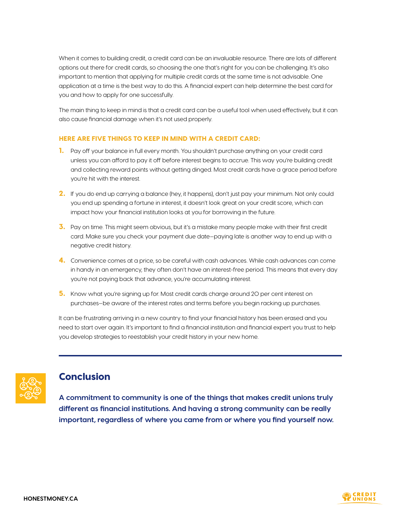When it comes to building credit, a credit card can be an invaluable resource. There are lots of different options out there for credit cards, so choosing the one that's right for you can be challenging. It's also important to mention that applying for multiple credit cards at the same time is not advisable. One application at a time is the best way to do this. A financial expert can help determine the best card for you and how to apply for one successfully.

The main thing to keep in mind is that a credit card can be a useful tool when used effectively, but it can also cause financial damage when it's not used properly.

## HERE ARE FIVE THINGS TO KEEP IN MIND WITH A CREDIT CARD:

- 1. Pay off your balance in full every month. You shouldn't purchase anything on your credit card unless you can afford to pay it off before interest begins to accrue. This way you're building credit and collecting reward points without getting dinged. Most credit cards have a grace period before you're hit with the interest.
- 2. If you do end up carrying a balance (hey, it happens), don't just pay your minimum. Not only could you end up spending a fortune in interest, it doesn't look great on your credit score, which can impact how your financial institution looks at you for borrowing in the future.
- 3. Pay on time. This might seem obvious, but it's a mistake many people make with their first credit card. Make sure you check your payment due date—paying late is another way to end up with a negative credit history.
- **4.** Convenience comes at a price, so be careful with cash advances. While cash advances can come in handy in an emergency, they often don't have an interest-free period. This means that every day you're not paying back that advance, you're accumulating interest.
- **5.** Know what you're signing up for. Most credit cards charge around 20 per cent interest on purchases—be aware of the interest rates and terms before you begin racking up purchases.

It can be frustrating arriving in a new country to find your financial history has been erased and you need to start over again. It's important to find a financial institution and financial expert you trust to help you develop strategies to reestablish your credit history in your new home.



# **Conclusion**

**A commitment to community is one of the things that makes credit unions truly different as financial institutions. And having a strong community can be really important, regardless of where you came from or where you find yourself now.**